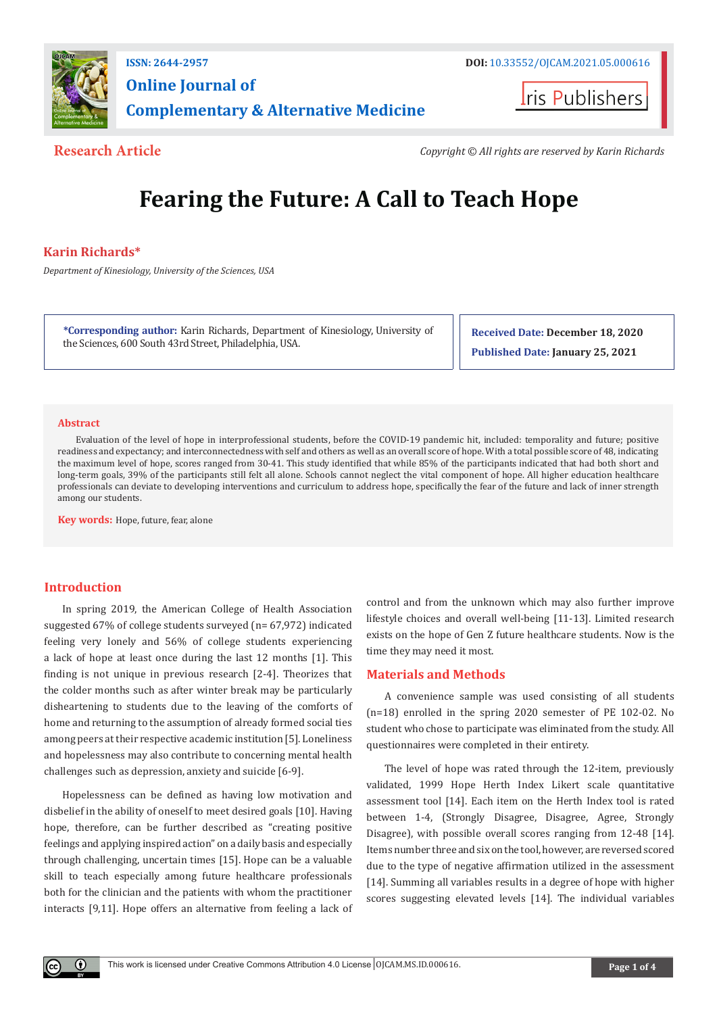

# **Online Journal of Complementary & Alternative Medicine**

**Iris Publishers** 

**Research Article** *Copyright © All rights are reserved by Karin Richards*

# **Fearing the Future: A Call to Teach Hope**

# **Karin Richards\***

*Department of Kinesiology, University of the Sciences, USA* 

**\*Corresponding author:** Karin Richards, Department of Kinesiology, University of the Sciences, 600 South 43rd Street, Philadelphia, USA.

**Received Date: December 18, 2020 Published Date: January 25, 2021**

### **Abstract**

Evaluation of the level of hope in interprofessional students, before the COVID-19 pandemic hit, included: temporality and future; positive readiness and expectancy; and interconnectedness with self and others as well as an overall score of hope. With a total possible score of 48, indicating the maximum level of hope, scores ranged from 30-41. This study identified that while 85% of the participants indicated that had both short and long-term goals, 39% of the participants still felt all alone. Schools cannot neglect the vital component of hope. All higher education healthcare professionals can deviate to developing interventions and curriculum to address hope, specifically the fear of the future and lack of inner strength among our students.

**Key words:** Hope, future, fear, alone

# **Introduction**

In spring 2019, the American College of Health Association suggested 67% of college students surveyed (n= 67,972) indicated feeling very lonely and 56% of college students experiencing a lack of hope at least once during the last 12 months [1]. This finding is not unique in previous research [2-4]. Theorizes that the colder months such as after winter break may be particularly disheartening to students due to the leaving of the comforts of home and returning to the assumption of already formed social ties among peers at their respective academic institution [5]. Loneliness and hopelessness may also contribute to concerning mental health challenges such as depression, anxiety and suicide [6-9].

Hopelessness can be defined as having low motivation and disbelief in the ability of oneself to meet desired goals [10]. Having hope, therefore, can be further described as "creating positive feelings and applying inspired action" on a daily basis and especially through challenging, uncertain times [15]. Hope can be a valuable skill to teach especially among future healthcare professionals both for the clinician and the patients with whom the practitioner interacts [9,11]. Hope offers an alternative from feeling a lack of

control and from the unknown which may also further improve lifestyle choices and overall well-being [11-13]. Limited research exists on the hope of Gen Z future healthcare students. Now is the time they may need it most.

# **Materials and Methods**

A convenience sample was used consisting of all students (n=18) enrolled in the spring 2020 semester of PE 102-02. No student who chose to participate was eliminated from the study. All questionnaires were completed in their entirety.

The level of hope was rated through the 12-item, previously validated, 1999 Hope Herth Index Likert scale quantitative assessment tool [14]. Each item on the Herth Index tool is rated between 1-4, (Strongly Disagree, Disagree, Agree, Strongly Disagree), with possible overall scores ranging from 12-48 [14]. Items number three and six on the tool, however, are reversed scored due to the type of negative affirmation utilized in the assessment [14]. Summing all variables results in a degree of hope with higher scores suggesting elevated levels [14]. The individual variables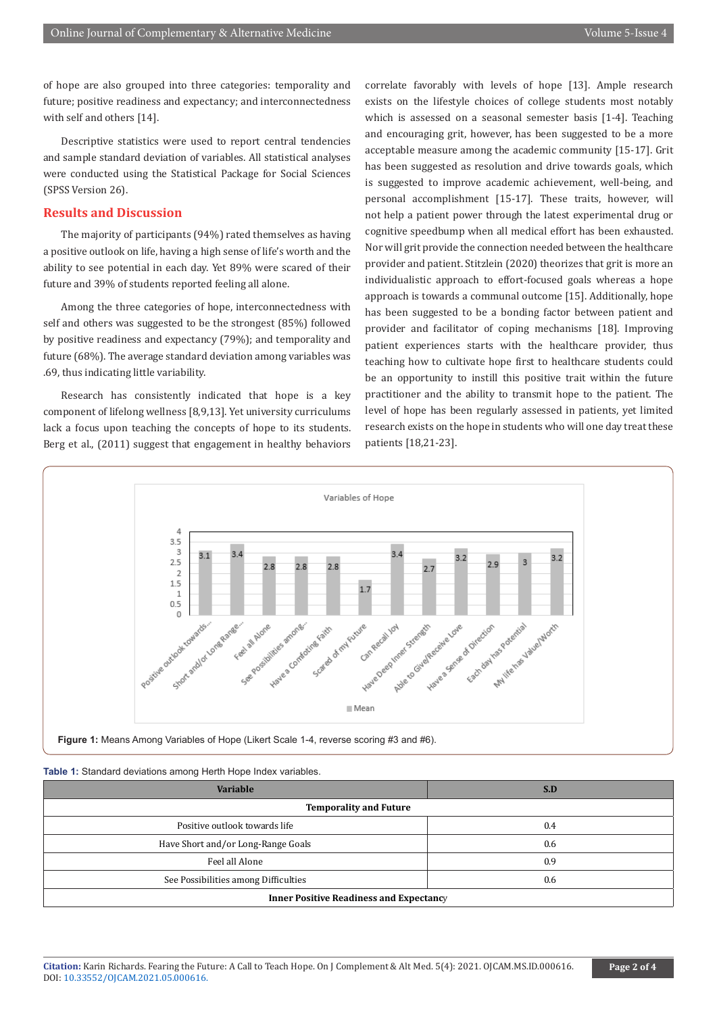of hope are also grouped into three categories: temporality and future; positive readiness and expectancy; and interconnectedness with self and others [14].

Descriptive statistics were used to report central tendencies and sample standard deviation of variables. All statistical analyses were conducted using the Statistical Package for Social Sciences (SPSS Version 26).

# **Results and Discussion**

The majority of participants (94%) rated themselves as having a positive outlook on life, having a high sense of life's worth and the ability to see potential in each day. Yet 89% were scared of their future and 39% of students reported feeling all alone.

Among the three categories of hope, interconnectedness with self and others was suggested to be the strongest (85%) followed by positive readiness and expectancy (79%); and temporality and future (68%). The average standard deviation among variables was .69, thus indicating little variability.

Research has consistently indicated that hope is a key component of lifelong wellness [8,9,13]. Yet university curriculums lack a focus upon teaching the concepts of hope to its students. Berg et al., (2011) suggest that engagement in healthy behaviors correlate favorably with levels of hope [13]. Ample research exists on the lifestyle choices of college students most notably which is assessed on a seasonal semester basis [1-4]. Teaching and encouraging grit, however, has been suggested to be a more acceptable measure among the academic community [15-17]. Grit has been suggested as resolution and drive towards goals, which is suggested to improve academic achievement, well-being, and personal accomplishment [15-17]. These traits, however, will not help a patient power through the latest experimental drug or cognitive speedbump when all medical effort has been exhausted. Nor will grit provide the connection needed between the healthcare provider and patient. Stitzlein (2020) theorizes that grit is more an individualistic approach to effort-focused goals whereas a hope approach is towards a communal outcome [15]. Additionally, hope has been suggested to be a bonding factor between patient and provider and facilitator of coping mechanisms [18]. Improving patient experiences starts with the healthcare provider, thus teaching how to cultivate hope first to healthcare students could be an opportunity to instill this positive trait within the future practitioner and the ability to transmit hope to the patient. The level of hope has been regularly assessed in patients, yet limited research exists on the hope in students who will one day treat these patients [18,21-23].



**Figure 1:** Means Among Variables of Hope (Likert Scale 1-4, reverse scoring #3 and #6).

#### **Table 1:** Standard deviations among Herth Hope Index variables.

| <b>Variable</b>                                | S.D |
|------------------------------------------------|-----|
| <b>Temporality and Future</b>                  |     |
| Positive outlook towards life                  | 0.4 |
| Have Short and/or Long-Range Goals             | 0.6 |
| Feel all Alone                                 | 0.9 |
| See Possibilities among Difficulties           | 0.6 |
| <b>Inner Positive Readiness and Expectancy</b> |     |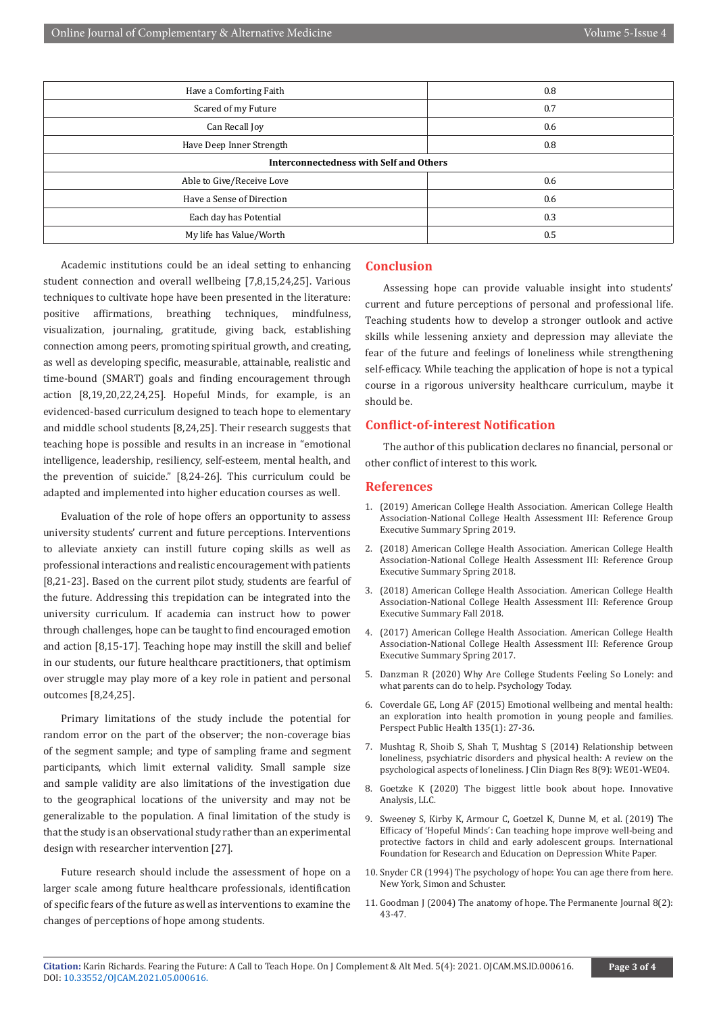| Have a Comforting Faith                        | 0.8 |
|------------------------------------------------|-----|
| Scared of my Future                            | 0.7 |
| Can Recall Joy                                 | 0.6 |
| Have Deep Inner Strength                       | 0.8 |
| <b>Interconnectedness with Self and Others</b> |     |
| Able to Give/Receive Love                      | 0.6 |
| Have a Sense of Direction                      | 0.6 |
| Each day has Potential                         | 0.3 |
| My life has Value/Worth                        | 0.5 |
|                                                |     |

Academic institutions could be an ideal setting to enhancing student connection and overall wellbeing [7,8,15,24,25]. Various techniques to cultivate hope have been presented in the literature: positive affirmations, breathing techniques, mindfulness, visualization, journaling, gratitude, giving back, establishing connection among peers, promoting spiritual growth, and creating, as well as developing specific, measurable, attainable, realistic and time-bound (SMART) goals and finding encouragement through action [8,19,20,22,24,25]. Hopeful Minds, for example, is an evidenced-based curriculum designed to teach hope to elementary and middle school students [8,24,25]. Their research suggests that teaching hope is possible and results in an increase in "emotional intelligence, leadership, resiliency, self-esteem, mental health, and the prevention of suicide." [8,24-26]. This curriculum could be adapted and implemented into higher education courses as well.

Evaluation of the role of hope offers an opportunity to assess university students' current and future perceptions. Interventions to alleviate anxiety can instill future coping skills as well as professional interactions and realistic encouragement with patients [8,21-23]. Based on the current pilot study, students are fearful of the future. Addressing this trepidation can be integrated into the university curriculum. If academia can instruct how to power through challenges, hope can be taught to find encouraged emotion and action [8,15-17]. Teaching hope may instill the skill and belief in our students, our future healthcare practitioners, that optimism over struggle may play more of a key role in patient and personal outcomes [8,24,25].

Primary limitations of the study include the potential for random error on the part of the observer; the non-coverage bias of the segment sample; and type of sampling frame and segment participants, which limit external validity. Small sample size and sample validity are also limitations of the investigation due to the geographical locations of the university and may not be generalizable to the population. A final limitation of the study is that the study is an observational study rather than an experimental design with researcher intervention [27].

Future research should include the assessment of hope on a larger scale among future healthcare professionals, identification of specific fears of the future as well as interventions to examine the changes of perceptions of hope among students.

#### **Conclusion**

Assessing hope can provide valuable insight into students' current and future perceptions of personal and professional life. Teaching students how to develop a stronger outlook and active skills while lessening anxiety and depression may alleviate the fear of the future and feelings of loneliness while strengthening self-efficacy. While teaching the application of hope is not a typical course in a rigorous university healthcare curriculum, maybe it should be.

### **Conflict-of-interest Notification**

The author of this publication declares no financial, personal or other conflict of interest to this work.

### **References**

- 1. (2019) American College Health Association. American College Health Association-National College Health Assessment III: Reference Group Executive Summary Spring 2019.
- 2. (2018) American College Health Association. American College Health Association-National College Health Assessment III: Reference Group Executive Summary Spring 2018.
- 3. (2018) American College Health Association. American College Health Association-National College Health Assessment III: Reference Group Executive Summary Fall 2018.
- 4. (2017) American College Health Association. American College Health Association-National College Health Assessment III: Reference Group Executive Summary Spring 2017.
- 5. [Danzman R \(2020\) Why Are College Students Feeling So Lonely: and](https://www.psychologytoday.com/us/blog/campus-crunch/202002/why-are-college-students-feeling-so-lonely) [what parents can do to help. Psychology Today.](https://www.psychologytoday.com/us/blog/campus-crunch/202002/why-are-college-students-feeling-so-lonely)
- 6. [Coverdale GE, Long AF \(2015\) Emotional wellbeing and mental health:](https://pubmed.ncbi.nlm.nih.gov/25568200/) [an exploration into health promotion in young people and families.](https://pubmed.ncbi.nlm.nih.gov/25568200/) [Perspect Public Health 135\(1\): 27-36.](https://pubmed.ncbi.nlm.nih.gov/25568200/)
- 7. [Mushtag R, Shoib S, Shah T, Mushtag S \(2014\) Relationship between](https://pubmed.ncbi.nlm.nih.gov/25386507/) [loneliness, psychiatric disorders and physical health: A review on the](https://pubmed.ncbi.nlm.nih.gov/25386507/) [psychological aspects of loneliness. J Clin Diagn Res 8\(9\): WE01-WE04.](https://pubmed.ncbi.nlm.nih.gov/25386507/)
- 8. Goetzke K (2020) The biggest little book about hope. Innovative Analysis, LLC.
- 9. Sweeney S, Kirby K, Armour C, Goetzel K, Dunne M, et al. (2019) The Efficacy of 'Hopeful Minds': Can teaching hope improve well-being and protective factors in child and early adolescent groups. International Foundation for Research and Education on Depression White Paper.
- 10. Snyder CR (1994) The psychology of hope: You can age there from here. New York, Simon and Schuster.
- 11. Goodman J (2004) The anatomy of hope. The Permanente Journal 8(2): 43-47.